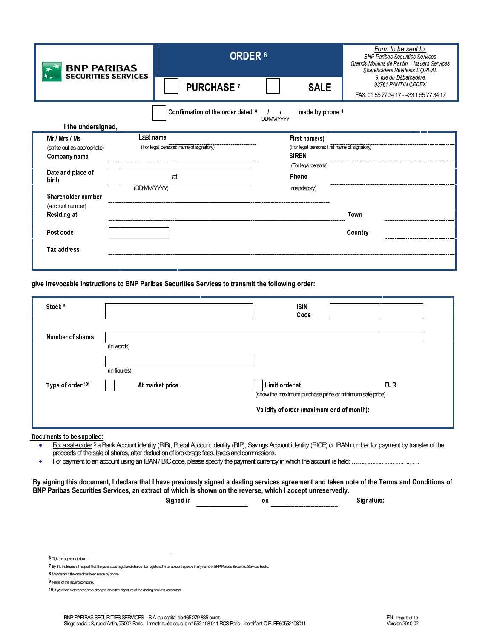| <b>BNP PARIBAS</b><br><b>SECURITIES SERVICES</b>                                                           |                                        | <b>ORDER 6</b>    |                                              | Form to be sent to:<br><b>BNP Paribas Securities Services</b><br>Grands Moulins de Pantin - Issuers Services<br><b>Shareholders Relations L'OREAL</b> |  |  |  |
|------------------------------------------------------------------------------------------------------------|----------------------------------------|-------------------|----------------------------------------------|-------------------------------------------------------------------------------------------------------------------------------------------------------|--|--|--|
|                                                                                                            |                                        | <b>PURCHASE</b> 7 | <b>SALE</b>                                  | 9. rue du Débarcadère<br>93761 PANTIN CEDEX<br>FAX: 01 55 77 34 17 - +33 1 55 77 34 17                                                                |  |  |  |
| Confirmation of the order dated 8<br>made by phone <sup>1</sup><br><b>DD/MMYYYYY</b><br>I the undersigned, |                                        |                   |                                              |                                                                                                                                                       |  |  |  |
| Mr / Mrs / Ms                                                                                              | Last name                              |                   | First name(s)                                |                                                                                                                                                       |  |  |  |
| (strike out as appropriate)                                                                                | (For legal persons: name of signatory) |                   | (For legal persons: first name of signatory) |                                                                                                                                                       |  |  |  |
| Company name                                                                                               |                                        |                   | <b>SIREN</b>                                 |                                                                                                                                                       |  |  |  |
| Date and place of                                                                                          |                                        |                   | (For legal persons)                          |                                                                                                                                                       |  |  |  |
| birth                                                                                                      |                                        | at                | Phone                                        |                                                                                                                                                       |  |  |  |
|                                                                                                            | (DD/MMYYYYY)                           |                   | mandatory)                                   |                                                                                                                                                       |  |  |  |
| Shareholder number                                                                                         |                                        |                   |                                              |                                                                                                                                                       |  |  |  |
| (account number)                                                                                           |                                        |                   |                                              |                                                                                                                                                       |  |  |  |
| Residing at                                                                                                |                                        |                   |                                              | Town                                                                                                                                                  |  |  |  |
| Post code                                                                                                  |                                        |                   |                                              | Country                                                                                                                                               |  |  |  |
| <b>Tax address</b>                                                                                         |                                        |                   |                                              |                                                                                                                                                       |  |  |  |
|                                                                                                            |                                        |                   |                                              |                                                                                                                                                       |  |  |  |

give irrevocable instructions to BNP Paribas Securities Services to transmit the following order:

| Stock <sup>9</sup> |                 | <b>ISIN</b><br>Code                                                       |                                           |  |  |
|--------------------|-----------------|---------------------------------------------------------------------------|-------------------------------------------|--|--|
| Number of shares   | (in words)      |                                                                           |                                           |  |  |
|                    |                 |                                                                           |                                           |  |  |
|                    | (in figures)    |                                                                           |                                           |  |  |
| Type of order 101  | At market price | Limit order at<br>(show the maximum purchase price or minimum sale price) | <b>EUR</b>                                |  |  |
|                    |                 |                                                                           | Validity of order (maximum end of month): |  |  |

Documents to be supplied:

- For a sale order<sup>5</sup> a Bank Account identity (RIB), Postal Account identity (RIP), Savings Account identity (RICE) or IBAN number for payment by transfer of the  $\bullet$ proceeds of the sale of shares, after deduction of brokerage fees, taxes and commissions.
- $\bullet$

By signing this document, I declare that I have previously signed a dealing services agreement and taken note of the Terms and Conditions of BNP Paribas Securities Services, an extract of which is shown on the reverse, which I accept unreservedly.

Signed in \_\_\_\_\_\_\_\_\_\_\_\_\_\_\_

Signature:

<sup>6</sup> Tick the appropriate box.

<sup>7</sup> By this instruction, I request that the purchased registered shares be registered in an account opened in my name in BNP Paribas Securities Services books.

<sup>8</sup> Mandatory if the order has been made by phone.

<sup>9</sup> Name of the issuing company.

<sup>10</sup> If your bank references have changed since the signature of the dealing services agreement.